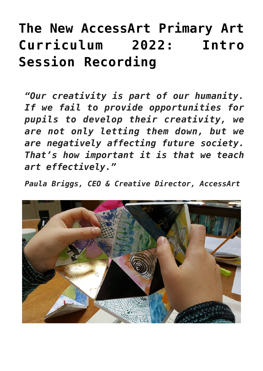## **[The New AccessArt Primary Art](https://www.accessart.org.uk/accessart-primary-art-curriculum-recording/) [Curriculum 2022: Intro](https://www.accessart.org.uk/accessart-primary-art-curriculum-recording/) [Session Recording](https://www.accessart.org.uk/accessart-primary-art-curriculum-recording/)**

*"Our creativity is part of our humanity. If we fail to provide opportunities for pupils to develop their creativity, we are not only letting them down, but we are negatively affecting future society. That's how important it is that we teach art effectively."*

*Paula Briggs, CEO & Creative Director, AccessArt*

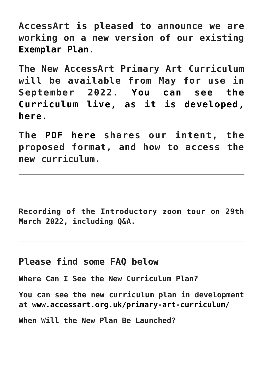**AccessArt is pleased to announce we are working on a new version of our existing [Exemplar Plan.](https://www.accessart.org.uk/exemplar-primary-art-plan/)**

**The New AccessArt Primary Art Curriculum will be available from May for use in September 2022. [You can see the](https://www.accessart.org.uk/primary-art-curriculum/) [Curriculum live, as it is developed,](https://www.accessart.org.uk/primary-art-curriculum/) [here.](https://www.accessart.org.uk/primary-art-curriculum/)** 

**The [PDF here](https://www.accessart.org.uk/wp-content/uploads/2022/02/The-New-AccessArt-Primary-Art-Curriculum.pdf) shares our intent, the proposed format, and how to access the new curriculum.** 

**Recording of the Introductory zoom tour on 29th March 2022, including Q&A.**

## **Please find some FAQ below**

**Where Can I See the New Curriculum Plan?**

**You can see the new curriculum plan in development at [www.accessart.org.uk/primary-art-curriculum/](https://www.accessart.org.uk/primary-art-curriculum/)**

**When Will the New Plan Be Launched?**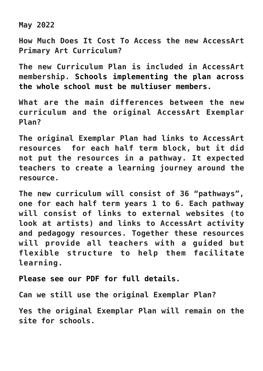**May 2022**

**How Much Does It Cost To Access the new AccessArt Primary Art Curriculum?**

**The new Curriculum Plan is included in AccessArt membership. [Schools implementing the plan across](https://www.accessart.org.uk/membership-benefits/) [the whole school must be multiuser members.](https://www.accessart.org.uk/membership-benefits/)** 

**What are the main differences between the new curriculum and the original AccessArt Exemplar Plan?**

**The original Exemplar Plan had links to AccessArt resources for each half term block, but it did not put the resources in a pathway. It expected teachers to create a learning journey around the resource.**

**The new curriculum will consist of 36 "pathways", one for each half term years 1 to 6. Each pathway will consist of links to external websites (to look at artists) and links to AccessArt activity and pedagogy resources. Together these resources will provide all teachers with a guided but flexible structure to help them facilitate learning.** 

**[Please see our PDF for full details.](https://www.accessart.org.uk/wp-content/uploads/2022/02/The-New-AccessArt-Primary-Art-Curriculum.pdf)**

**Can we still use the original Exemplar Plan?**

**Yes the original Exemplar Plan will remain on the site for schools.**